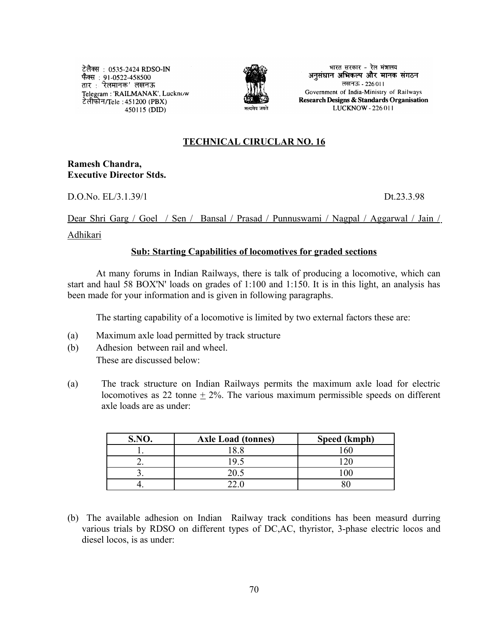टेलैक्स: 0535-2424 RDSO-IN फैक्स : 91-0522-458500 तार : 'रेलमानक' लखनऊ Telegram: 'RAILMANAK', Lucknow टेलीफोन/Tele : 451200 (PBX) 450115 (DID)



भारत सरकार - रेल मंत्रालय अनुसंधान अभिकल्प और मानक संगठन लखनऊ - 226011 Government of India-Ministry of Railways Research Designs & Standards Organisation LUCKNOW - 226 011

## **TECHNICAL CIRUCLAR NO. 16**

## **Ramesh Chandra, Executive Director Stds.**

D.O.No. EL/3.1.39/1 Dt.23.3.98

## Dear Shri Garg / Goel / Sen / Bansal / Prasad / Punnuswami / Nagpal / Aggarwal / Jain /

#### Adhikari

## **Sub: Starting Capabilities of locomotives for graded sections**

At many forums in Indian Railways, there is talk of producing a locomotive, which can start and haul 58 BOX'N' loads on grades of 1:100 and 1:150. It is in this light, an analysis has been made for your information and is given in following paragraphs.

The starting capability of a locomotive is limited by two external factors these are:

- (a) Maximum axle load permitted by track structure
- (b) Adhesion between rail and wheel. These are discussed below:
- (a) The track structure on Indian Railways permits the maximum axle load for electric locomotives as 22 tonne  $\pm$  2%. The various maximum permissible speeds on different axle loads are as under:

| S.NO.                    | <b>Axle Load (tonnes)</b> | Speed (kmph) |
|--------------------------|---------------------------|--------------|
|                          |                           |              |
|                          |                           |              |
| $\overline{\phantom{a}}$ |                           |              |
|                          |                           |              |

(b) The available adhesion on Indian Railway track conditions has been measurd durring various trials by RDSO on different types of DC,AC, thyristor, 3-phase electric locos and diesel locos, is as under: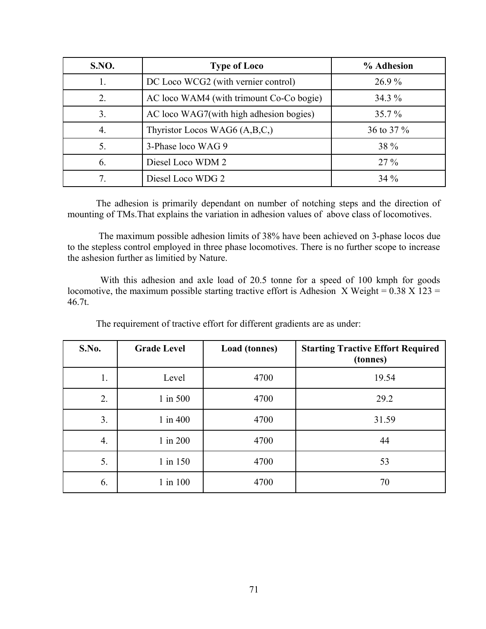| <b>S.NO.</b> | <b>Type of Loco</b>                      | % Adhesion |  |  |
|--------------|------------------------------------------|------------|--|--|
|              | DC Loco WCG2 (with vernier control)      | $26.9\%$   |  |  |
| 2.           | AC loco WAM4 (with trimount Co-Co bogie) | $34.3\%$   |  |  |
| 3.           | AC loco WAG7(with high adhesion bogies)  | $35.7\%$   |  |  |
| 4.           | Thyristor Locos WAG6 $(A,B,C)$           | 36 to 37 % |  |  |
| 5.           | 3-Phase loco WAG 9                       | 38 %       |  |  |
| 6.           | Diesel Loco WDM 2                        | $27\%$     |  |  |
|              | Diesel Loco WDG 2                        | $34\%$     |  |  |

The adhesion is primarily dependant on number of notching steps and the direction of mounting of TMs.That explains the variation in adhesion values of above class of locomotives.

 The maximum possible adhesion limits of 38% have been achieved on 3-phase locos due to the stepless control employed in three phase locomotives. There is no further scope to increase the ashesion further as limitied by Nature.

 With this adhesion and axle load of 20.5 tonne for a speed of 100 kmph for goods locomotive, the maximum possible starting tractive effort is Adhesion X Weight =  $0.38$  X 123 = 46.7t.

| S.No.          | <b>Grade Level</b> | Load (tonnes) | <b>Starting Tractive Effort Required</b><br>(tonnes) |
|----------------|--------------------|---------------|------------------------------------------------------|
| 1.             | Level              | 4700          | 19.54                                                |
| 2.             | $1$ in $500$       | 4700          | 29.2                                                 |
| 3 <sub>1</sub> | $1$ in $400$       | 4700          | 31.59                                                |
| 4.             | $1$ in $200$       | 4700          | 44                                                   |
| 5.             | 1 in 150           | 4700          | 53                                                   |
| 6.             | $1$ in $100$       | 4700          | 70                                                   |

The requirement of tractive effort for different gradients are as under: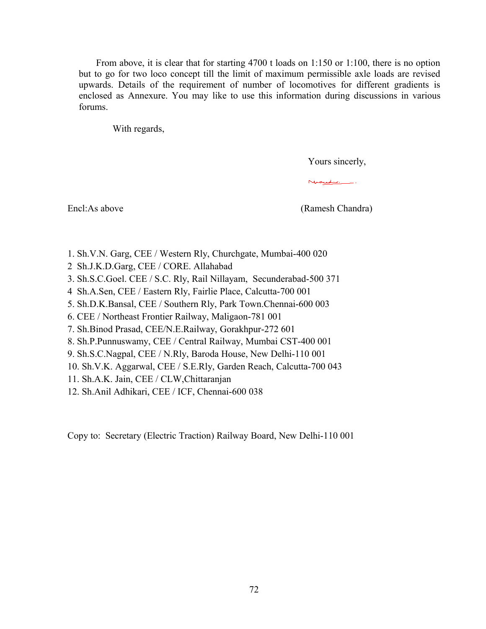From above, it is clear that for starting 4700 t loads on 1:150 or 1:100, there is no option but to go for two loco concept till the limit of maximum permissible axle loads are revised upwards. Details of the requirement of number of locomotives for different gradients is enclosed as Annexure. You may like to use this information during discussions in various forums.

With regards,

Yours sincerly,

Nuevolis

Encl:As above (Ramesh Chandra)

- 1. Sh.V.N. Garg, CEE / Western Rly, Churchgate, Mumbai-400 020
- 2 Sh.J.K.D.Garg, CEE / CORE. Allahabad
- 3. Sh.S.C.Goel. CEE / S.C. Rly, Rail Nillayam, Secunderabad-500 371
- 4 Sh.A.Sen, CEE / Eastern Rly, Fairlie Place, Calcutta-700 001
- 5. Sh.D.K.Bansal, CEE / Southern Rly, Park Town.Chennai-600 003
- 6. CEE / Northeast Frontier Railway, Maligaon-781 001
- 7. Sh.Binod Prasad, CEE/N.E.Railway, Gorakhpur-272 601
- 8. Sh.P.Punnuswamy, CEE / Central Railway, Mumbai CST-400 001
- 9. Sh.S.C.Nagpal, CEE / N.Rly, Baroda House, New Delhi-110 001
- 10. Sh.V.K. Aggarwal, CEE / S.E.Rly, Garden Reach, Calcutta-700 043
- 11. Sh.A.K. Jain, CEE / CLW,Chittaranjan
- 12. Sh.Anil Adhikari, CEE / ICF, Chennai-600 038

Copy to: Secretary (Electric Traction) Railway Board, New Delhi-110 001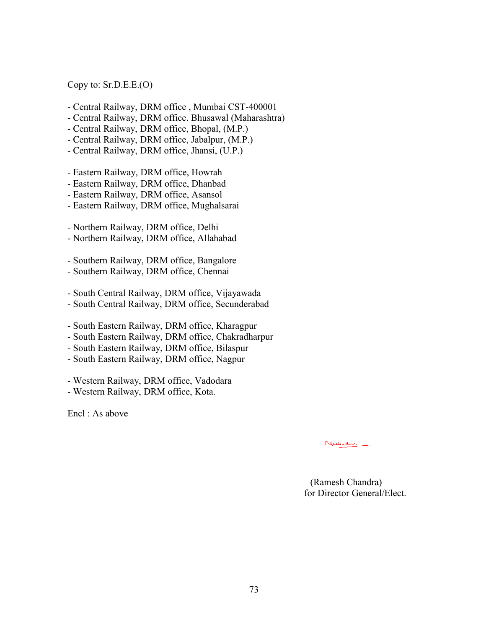Copy to: Sr.D.E.E.(O)

- Central Railway, DRM office , Mumbai CST-400001
- Central Railway, DRM office. Bhusawal (Maharashtra)
- Central Railway, DRM office, Bhopal, (M.P.)
- Central Railway, DRM office, Jabalpur, (M.P.)
- Central Railway, DRM office, Jhansi, (U.P.)
- Eastern Railway, DRM office, Howrah
- Eastern Railway, DRM office, Dhanbad
- Eastern Railway, DRM office, Asansol
- Eastern Railway, DRM office, Mughalsarai

- Northern Railway, DRM office, Delhi

- Northern Railway, DRM office, Allahabad

- Southern Railway, DRM office, Bangalore

- Southern Railway, DRM office, Chennai

- South Central Railway, DRM office, Vijayawada

- South Central Railway, DRM office, Secunderabad
- South Eastern Railway, DRM office, Kharagpur
- South Eastern Railway, DRM office, Chakradharpur
- South Eastern Railway, DRM office, Bilaspur
- South Eastern Railway, DRM office, Nagpur
- Western Railway, DRM office, Vadodara
- Western Railway, DRM office, Kota.

Encl : As above

Nicedie.

 (Ramesh Chandra) for Director General/Elect.